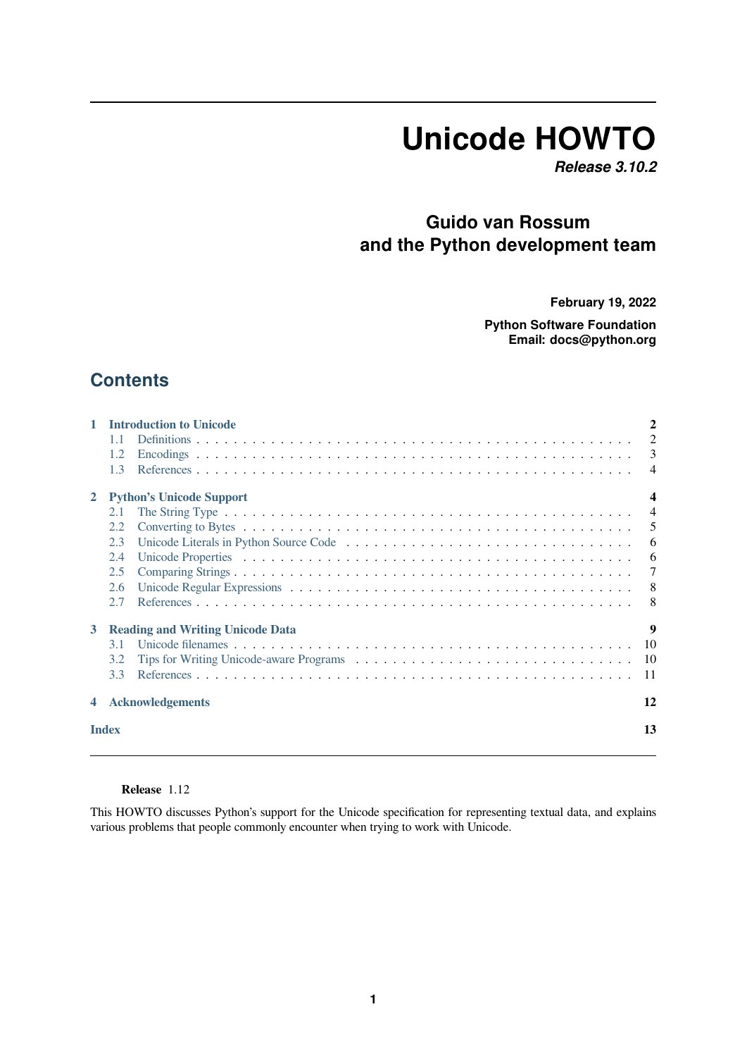# **Unicode HOWTO**

*Release 3.10.2*

### **Guido van Rossum and the Python development team**

**February 19, 2022**

**Python Software Foundation Email: docs@python.org**

### **Contents**

| 1            | <b>Introduction to Unicode</b>          |                |
|--------------|-----------------------------------------|----------------|
|              | 1.1                                     | 2              |
|              | 1.2                                     | 3              |
|              | 1.3                                     | $\overline{4}$ |
| $\mathbf{2}$ | <b>Python's Unicode Support</b>         |                |
|              | 2.1                                     | $\overline{4}$ |
|              | 2.2                                     | 5              |
|              | 2.3                                     | 6              |
|              | 2.4                                     | -6             |
|              | 2.5                                     | 7              |
|              | 2.6                                     | 8              |
|              | 2.7                                     | 8              |
| 3            | <b>Reading and Writing Unicode Data</b> | 9              |
|              | 3.1                                     | 10             |
|              | 3.2                                     | 10             |
|              | 3.3                                     | -11            |
|              | <b>Acknowledgements</b>                 | 12             |
|              | <b>Index</b>                            | 13             |
|              |                                         |                |

**Release** 1.12

This HOWTO discusses Python's support for the Unicode specification for representing textual data, and explains various problems that people commonly encounter when trying to work with Unicode.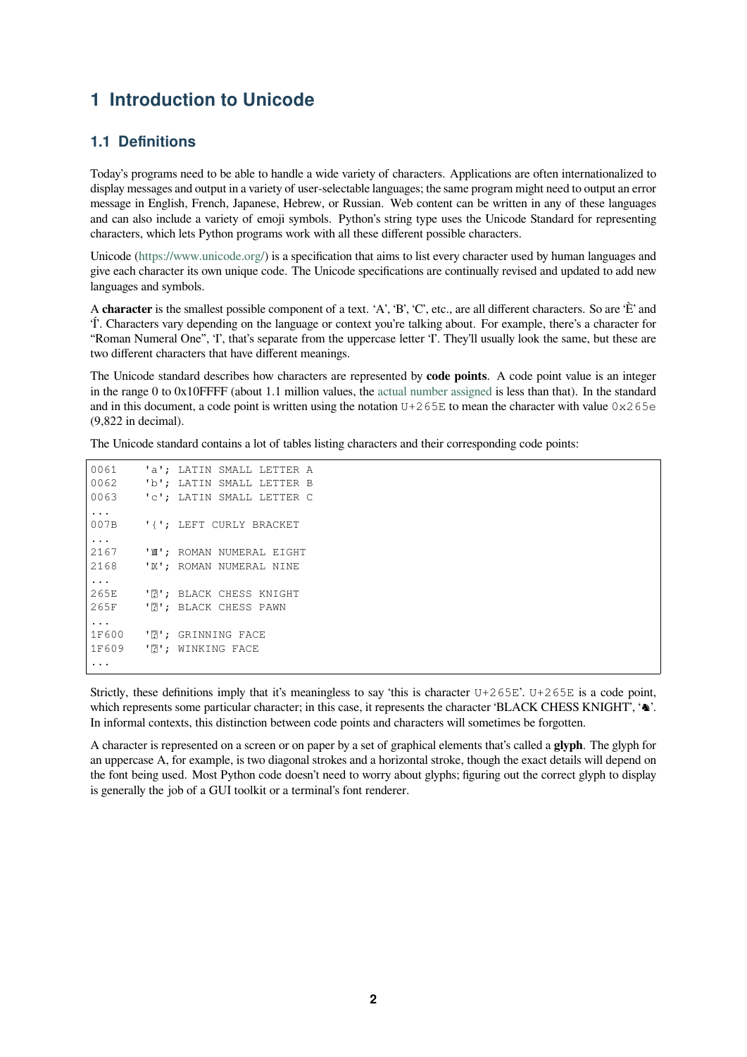### **1 Introduction to Unicode**

### **1.1 Definitions**

<span id="page-1-1"></span><span id="page-1-0"></span>Today's programs need to be able to handle a wide variety of characters. Applications are often internationalized to display messages and output in a variety of user-selectable languages; the same program might need to output an error message in English, French, Japanese, Hebrew, or Russian. Web content can be written in any of these languages and can also include a variety of emoji symbols. Python's string type uses the Unicode Standard for representing characters, which lets Python programs work with all these different possible characters.

Unicode (https://www.unicode.org/) is a specification that aims to list every character used by human languages and give each character its own unique code. The Unicode specifications are continually revised and updated to add new languages and symbols.

A **character** is the smallest possible component of a text. 'A', 'B', 'C', etc., are all different characters. So are 'È' and 'Í'. Chara[cters vary depending on th](https://www.unicode.org/)e language or context you're talking about. For example, there's a character for "Roman Numeral One", 'I', that's separate from the uppercase letter 'I'. They'll usually look the same, but these are two different characters that have different meanings.

The Unicode standard describes how characters are represented by **code points**. A code point value is an integer in the range 0 to 0x10FFFF (about 1.1 million values, the actual number assigned is less than that). In the standard and in this document, a code point is written using the notation  $U+265E$  to mean the character with value  $0 \times 265E$ (9,822 in decimal).

The Unicode standard contains a lot of tables listing chara[cters and their correspon](https://www.unicode.org/versions/latest/#Summary)ding code points:

0061 'a'; LATIN SMALL LETTER A 0062 'b'; LATIN SMALL LETTER B 0063 'c'; LATIN SMALL LETTER C ... 007B '{'; LEFT CURLY BRACKET ... 2167 'Ⅷ'; ROMAN NUMERAL EIGHT 2168 'Ⅸ'; ROMAN NUMERAL NINE ... 265E 'N'; BLACK CHESS KNIGHT 265F '7'; BLACK CHESS PAWN ... 1F600 '0'; GRINNING FACE 1F609 ' ?'; WINKING FACE ...

Strictly, these definitions imply that it's meaningless to say 'this is character  $U+265E'$ .  $U+265E$  is a code point, which represents some particular character; in this case, it represents the character 'BLACK CHESS KNIGHT', ' $\triangle$ '. In informal contexts, this distinction between code points and characters will sometimes be forgotten.

A character is represented on a screen or on paper by a set of graphical elements that's called a **glyph**. The glyph for an uppercase A, for example, is two diagonal strokes and a horizontal stroke, though the exact details will depend on the font being used. Most Python code doesn't need to worry about glyphs; figuring out the correct glyph to display is generally the job of a GUI toolkit or a terminal's font renderer.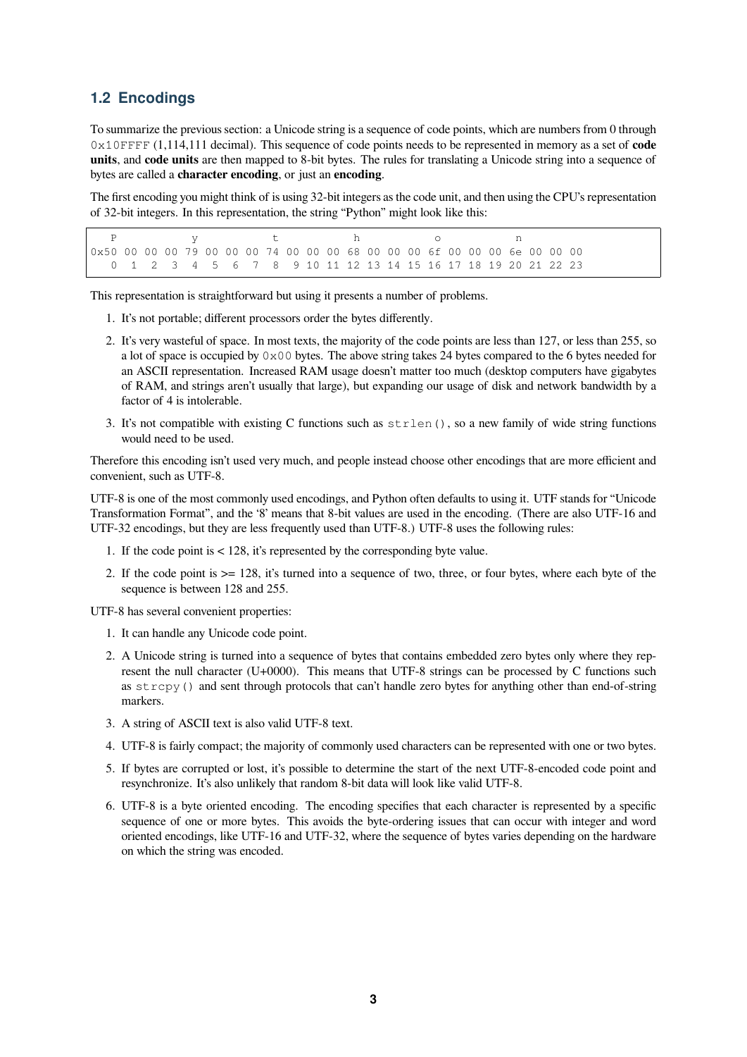#### <span id="page-2-0"></span>**1.2 Encodings**

To summarize the previous section: a Unicode string is a sequence of code points, which are numbers from 0 through 0x10FFFF (1,114,111 decimal). This sequence of code points needs to be represented in memory as a set of **code units**, and **code units** are then mapped to 8-bit bytes. The rules for translating a Unicode string into a sequence of bytes are called a **character encoding**, or just an **encoding**.

The first encoding you might think of is using 32-bit integers as the code unit, and then using the CPU's representation of 32-bit integers. In this representation, the string "Python" might look like this:

P y thoon 0x50 00 00 00 79 00 00 00 74 00 00 00 68 00 00 00 6f 00 00 00 6e 00 00 00 0 1 2 3 4 5 6 7 8 9 10 11 12 13 14 15 16 17 18 19 20 21 22 23

This representation is straightforward but using it presents a number of problems.

- 1. It's not portable; different processors order the bytes differently.
- 2. It's very wasteful of space. In most texts, the majority of the code points are less than 127, or less than 255, so a lot of space is occupied by  $0 \times 00$  bytes. The above string takes 24 bytes compared to the 6 bytes needed for an ASCII representation. Increased RAM usage doesn't matter too much (desktop computers have gigabytes of RAM, and strings aren't usually that large), but expanding our usage of disk and network bandwidth by a factor of 4 is intolerable.
- 3. It's not compatible with existing C functions such as  $\text{strlen}(\cdot)$ , so a new family of wide string functions would need to be used.

Therefore this encoding isn't used very much, and people instead choose other encodings that are more efficient and convenient, such as UTF-8.

UTF-8 is one of the most commonly used encodings, and Python often defaults to using it. UTF stands for "Unicode Transformation Format", and the '8' means that 8-bit values are used in the encoding. (There are also UTF-16 and UTF-32 encodings, but they are less frequently used than UTF-8.) UTF-8 uses the following rules:

- 1. If the code point is < 128, it's represented by the corresponding byte value.
- 2. If the code point is >= 128, it's turned into a sequence of two, three, or four bytes, where each byte of the sequence is between 128 and 255.

UTF-8 has several convenient properties:

- 1. It can handle any Unicode code point.
- 2. A Unicode string is turned into a sequence of bytes that contains embedded zero bytes only where they represent the null character (U+0000). This means that UTF-8 strings can be processed by C functions such as  $stropy()$  and sent through protocols that can't handle zero bytes for anything other than end-of-string markers.
- 3. A string of ASCII text is also valid UTF-8 text.
- 4. UTF-8 is fairly compact; the majority of commonly used characters can be represented with one or two bytes.
- 5. If bytes are corrupted or lost, it's possible to determine the start of the next UTF-8-encoded code point and resynchronize. It's also unlikely that random 8-bit data will look like valid UTF-8.
- 6. UTF-8 is a byte oriented encoding. The encoding specifies that each character is represented by a specific sequence of one or more bytes. This avoids the byte-ordering issues that can occur with integer and word oriented encodings, like UTF-16 and UTF-32, where the sequence of bytes varies depending on the hardware on which the string was encoded.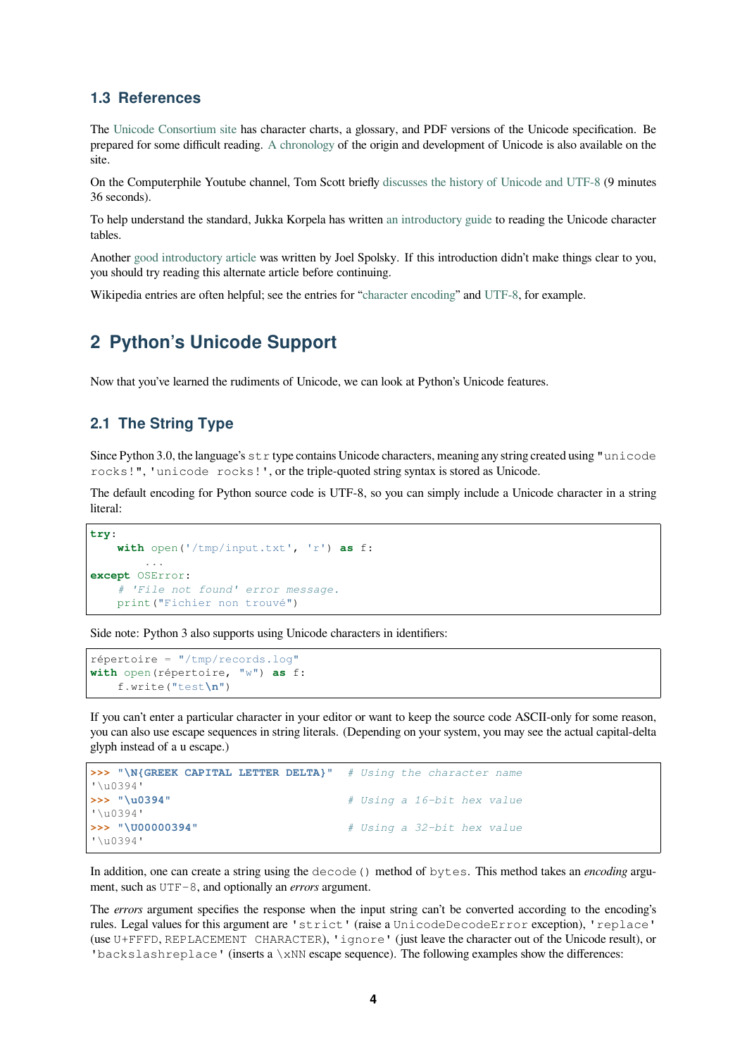#### **1.3 References**

The Unicode Consortium site has character charts, a glossary, and PDF versions of the Unicode specification. Be prepared for some difficult reading. A chronology of the origin and development of Unicode is also available on the site.

<span id="page-3-0"></span>Ont[he Computerphile Youtub](https://www.unicode.org)e channel, Tom Scott briefly discusses the history of Unicode and UTF-8 (9 minutes 36 seconds).

To help understand the standard, Ju[kka Korpela h](https://www.unicode.org/history/)as written an introductory guide to reading the Unicode character tables.

Another good introductory article was written by Joel Spol[sky. If this introduction didn't make things cl](https://www.youtube.com/watch?v=MijmeoH9LT4)ear to you, you should try reading this alternate article before continuin[g.](http://jkorpela.fi/unicode/guide.html)

Wikipedia entries are often helpful; see the entries for "character encoding" and UTF-8, for example.

### **2 Python's Unicode Support**

<span id="page-3-1"></span>Now that you've learned the rudiments of Unicode, we can look at Python's Unicode features.

#### **2.1 The String Type**

<span id="page-3-2"></span>Since Python 3.0, the language's  $str$  type contains Unicode characters, meaning any string created using "unicode rocks!", 'unicode rocks!', or the triple-quoted string syntax is stored as Unicode.

The default encoding for Python source code is UTF-8, so you can simply include a Unicode character in a string literal:

```
try:
    with open('/tmp/input.txt', 'r') as f:
        ...
except OSError:
    # 'File not found' error message.
    print("Fichier non trouvé")
```
Side note: Python 3 also supports using Unicode characters in identifiers:

```
répertoire = "/tmp/records.log"
with open(répertoire, "w") as f:
    f.write("test\n")
```
If you can't enter a particular character in your editor or want to keep the source code ASCII-only for some reason, you can also use escape sequences in string literals. (Depending on your system, you may see the actual capital-delta glyph instead of a u escape.)

```
>>> "\N{GREEK CAPITAL LETTER DELTA}" # Using the character name
'\u0394'
>>> "\u0394" # Using a 16-bit hex value
'\u0394'
>>> "\U00000394" # Using a 32-bit hex value
'\u0394'
```
In addition, one can create a string using the decode() method of bytes. This method takes an *encoding* argument, such as UTF-8, and optionally an *errors* argument.

The *errors* argument specifies the response when the input string can't be converted according to the encoding's rules. Legal values for this argument are 'strict' (raise a UnicodeDecodeError exception), 'replace' (use U+FFFD, REPLACEMENT CHARACTER), 'ignore' (just leave the character out of the Unicode result), or 'backslashreplace' (inserts a \xNN escape sequence). The following examples show the differences: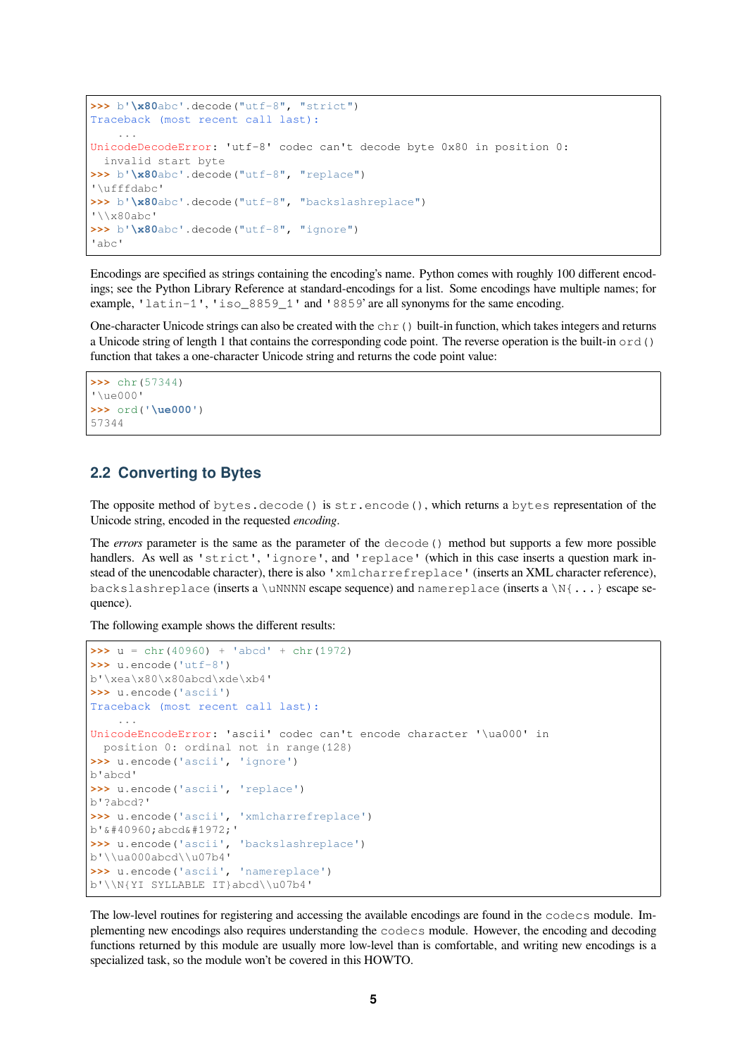```
>>> b'\x80abc'.decode("utf-8", "strict")
Traceback (most recent call last):
    ...
UnicodeDecodeError: 'utf-8' codec can't decode byte 0x80 in position 0:
 invalid start byte
>>> b'\x80abc'.decode("utf-8", "replace")
'\ufffdabc'
>>> b'\x80abc'.decode("utf-8", "backslashreplace")
'\\x80abc'
>>> b'\x80abc'.decode("utf-8", "ignore")
'abc'
```
Encodings are specified as strings containing the encoding's name. Python comes with roughly 100 different encodings; see the Python Library Reference at standard-encodings for a list. Some encodings have multiple names; for example, 'latin-1', 'iso\_8859\_1' and '8859' are all synonyms for the same encoding.

One-character Unicode strings can also be created with the  $chr()$  built-in function, which takes integers and returns a Unicode string of length 1 that contains the corresponding code point. The reverse operation is the built-in  $\text{ord}(x)$ function that takes a one-character Unicode string and returns the code point value:

```
>>> chr(57344)
'\ue000'
>>> ord('\ue000')
57344
```
#### <span id="page-4-0"></span>**2.2 Converting to Bytes**

The opposite method of bytes.decode() is str.encode(), which returns a bytes representation of the Unicode string, encoded in the requested *encoding*.

The *errors* parameter is the same as the parameter of the decode() method but supports a few more possible handlers. As well as 'strict', 'ignore', and 'replace' (which in this case inserts a question mark instead of the unencodable character), there is also 'xmlcharrefreplace' (inserts an XML character reference), backslashreplace (inserts a \uNNNN escape sequence) and name replace (inserts a \N{ $\dots$ } escape sequence).

The following example shows the different results:

```
\Rightarrow u = chr(40960) + 'abcd' + chr(1972)
>>> u.encode('utf-8')
b'\xea\x80\x80abcd\xde\xb4'
>>> u.encode('ascii')
Traceback (most recent call last):
    ...
UnicodeEncodeError: 'ascii' codec can't encode character '\ua000' in
 position 0: ordinal not in range(128)
>>> u.encode('ascii', 'ignore')
b'abcd'
>>> u.encode('ascii', 'replace')
b'?abcd?'
>>> u.encode('ascii', 'xmlcharrefreplace')
b' & #40960; abcd & #1972; '
>>> u.encode('ascii', 'backslashreplace')
b'\\ua000abcd\\u07b4'
>>> u.encode('ascii', 'namereplace')
b'\\N{YI SYLLABLE IT}abcd\\u07b4'
```
The low-level routines for registering and accessing the available encodings are found in the codecs module. Implementing new encodings also requires understanding the codecs module. However, the encoding and decoding functions returned by this module are usually more low-level than is comfortable, and writing new encodings is a specialized task, so the module won't be covered in this HOWTO.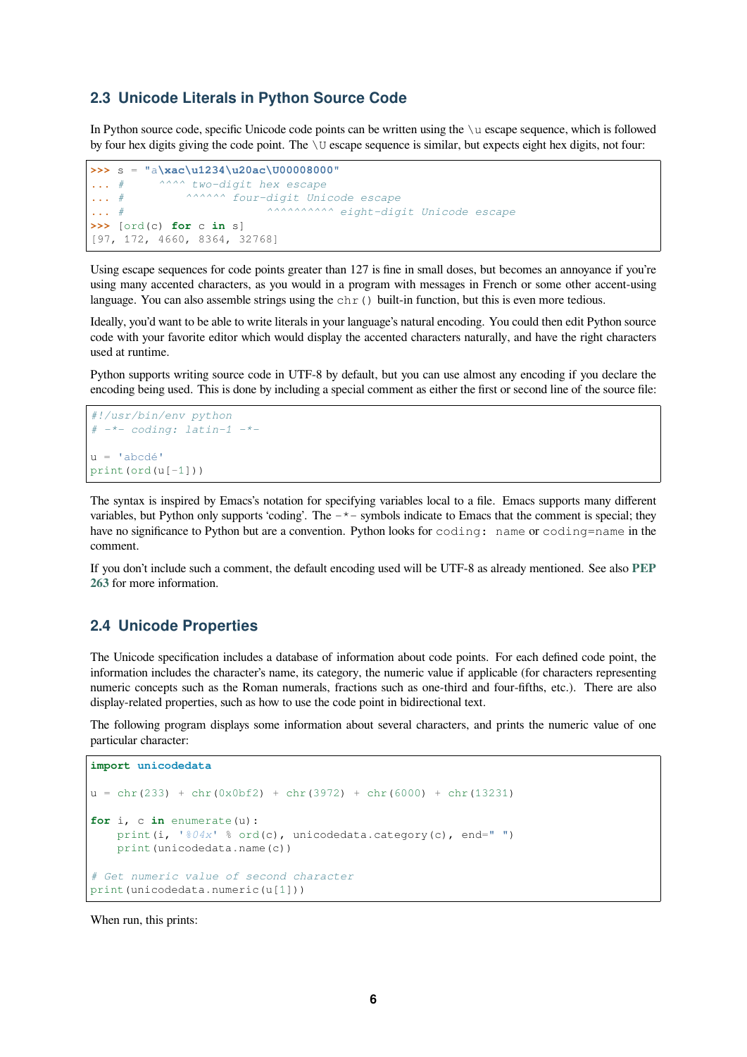#### **2.3 Unicode Literals in Python Source Code**

In Python source code, specific Unicode code points can be written using the \u escape sequence, which is followed by four hex digits giving the code point. The \U escape sequence is similar, but expects eight hex digits, not four:

```
>>> s = "a\xac\u1234\u20ac\U00008000"
... # ^^^^ two-digit hex escape
... # ^^^^^^ four-digit Unicode escape
... # ^^^^^^^^^^ eight-digit Unicode escape
>>> [ord(c) for c in s]
[97, 172, 4660, 8364, 32768]
```
Using escape sequences for code points greater than 127 is fine in small doses, but becomes an annoyance if you're using many accented characters, as you would in a program with messages in French or some other accent-using language. You can also assemble strings using the  $chr()$  built-in function, but this is even more tedious.

Ideally, you'd want to be able to write literals in your language's natural encoding. You could then edit Python source code with your favorite editor which would display the accented characters naturally, and have the right characters used at runtime.

Python supports writing source code in UTF-8 by default, but you can use almost any encoding if you declare the encoding being used. This is done by including a special comment as either the first or second line of the source file:

```
#!/usr/bin/env python
# -*- coding: latin-1 -*-
u = 'abcdé'print(ord(u[-1]))
```
The syntax is inspired by Emacs's notation for specifying variables local to a file. Emacs supports many different variables, but Python only supports 'coding'. The  $-\star$ -symbols indicate to Emacs that the comment is special; they have no significance to Python but are a convention. Python looks for coding: name or coding=name in the comment.

If you don't include such a comment, the default encoding used will be UTF-8 as already mentioned. See also **PEP 263** for more information.

#### **2.4 Unicode Properties**

<span id="page-5-1"></span>[The](https://www.python.org/dev/peps/pep-0263) Unicode specification includes a database of information about code points. For each defined code point, the information includes the character's name, its category, the numeric value if applicable (for characters representing numeric concepts such as the Roman numerals, fractions such as one-third and four-fifths, etc.). There are also display-related properties, such as how to use the code point in bidirectional text.

The following program displays some information about several characters, and prints the numeric value of one particular character:

```
import unicodedata
u = chr(233) + chr(0x0bf2) + chr(3972) + chr(6000) + chr(13231)for i, c in enumerate(u):
   print(i, '804x' % ord(c), unicodedata.category(c), end="")
   print(unicodedata.name(c))
# Get numeric value of second character
print(unicodedata.numeric(u[1]))
```
When run, this prints: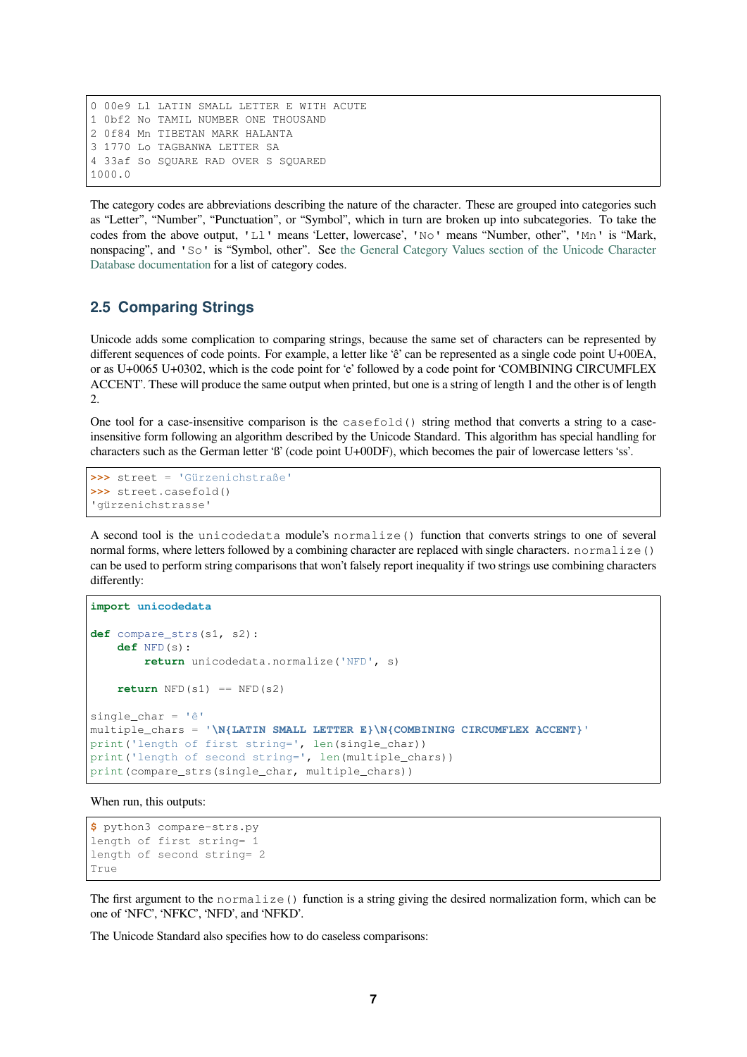0 00e9 Ll LATIN SMALL LETTER E WITH ACUTE 1 0bf2 No TAMIL NUMBER ONE THOUSAND 2 0f84 Mn TIBETAN MARK HALANTA 3 1770 Lo TAGBANWA LETTER SA 4 33af So SQUARE RAD OVER S SQUARED 1000.0

The category codes are abbreviations describing the nature of the character. These are grouped into categories such as "Letter", "Number", "Punctuation", or "Symbol", which in turn are broken up into subcategories. To take the codes from the above output, 'Ll' means 'Letter, lowercase', 'No' means "Number, other", 'Mn' is "Mark, nonspacing", and 'So' is "Symbol, other". See the General Category Values section of the Unicode Character Database documentation for a list of category codes.

#### **2.5 Comparing Strings**

<span id="page-6-0"></span>[Unicode adds some com](https://www.unicode.org/reports/tr44/#General_Category_Values)plication to comparing strings, because the same set of characters can be represented by different sequences of code points. For example, a letter like 'ê' can be represented as a single code point U+00EA, or as U+0065 U+0302, which is the code point for 'e' followed by a code point for 'COMBINING CIRCUMFLEX ACCENT'. These will produce the same output when printed, but one is a string of length 1 and the other is of length 2.

One tool for a case-insensitive comparison is the casefold() string method that converts a string to a caseinsensitive form following an algorithm described by the Unicode Standard. This algorithm has special handling for characters such as the German letter 'ß' (code point U+00DF), which becomes the pair of lowercase letters 'ss'.

```
>>> street = 'Gürzenichstraße'
>>> street.casefold()
'gürzenichstrasse'
```
A second tool is the unicodedata module's normalize() function that converts strings to one of several normal forms, where letters followed by a combining character are replaced with single characters. normalize() can be used to perform string comparisons that won't falsely report inequality if two strings use combining characters differently:

```
import unicodedata
def compare_strs(s1, s2):
   def NFD(s):
       return unicodedata.normalize('NFD', s)
   return NFD(s1) == NFD(s2)single_char = 'ê'
multiple_chars = '\N{LATIN SMALL LETTER E}\N{COMBINING CIRCUMFLEX ACCENT}'
print('length of first string=', len(single_char))
print('length of second string=', len(multiple_chars))
print(compare_strs(single_char, multiple_chars))
```
When run, this outputs:

```
$ python3 compare-strs.py
length of first string= 1
length of second string= 2
True
```
The first argument to the normalize () function is a string giving the desired normalization form, which can be one of 'NFC', 'NFKC', 'NFD', and 'NFKD'.

The Unicode Standard also specifies how to do caseless comparisons: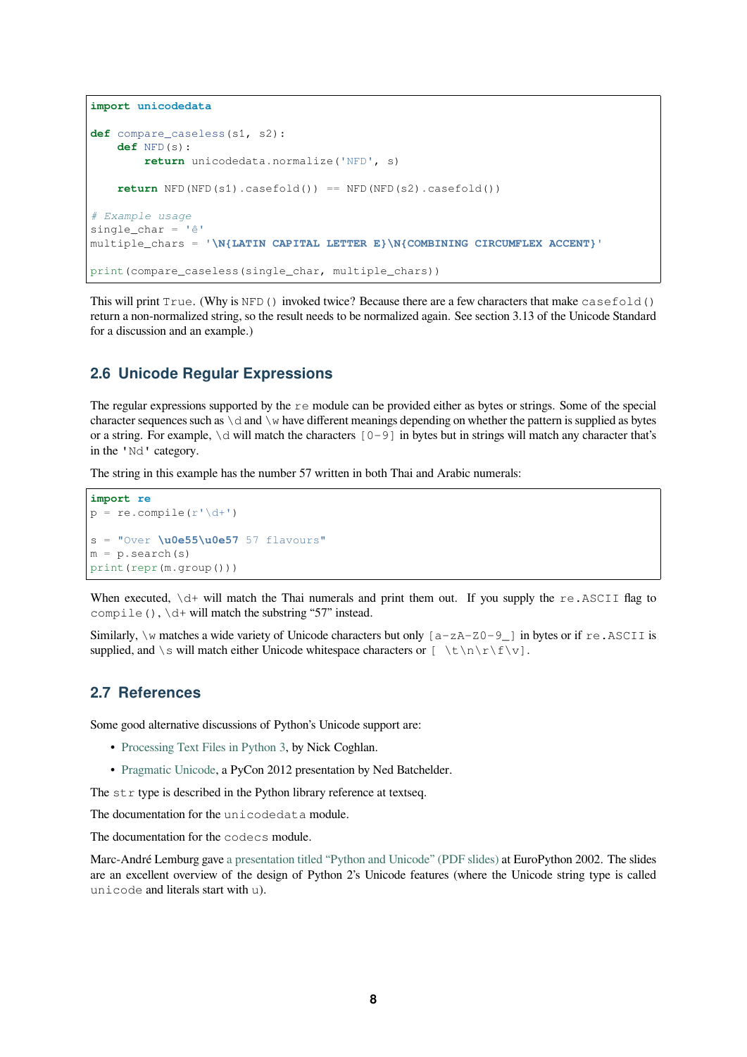```
import unicodedata
def compare_caseless(s1, s2):
   def NFD(s):
        return unicodedata.normalize('NFD', s)
    return NFD(NFD(s1).casefold()) == NFD(NFD(s2).casefold())
# Example usage
single_char = 'ê'
multiple_chars = '\N{LATIN CAPITAL LETTER E}\N{COMBINING CIRCUMFLEX ACCENT}'
print(compare_caseless(single_char, multiple_chars))
```
This will print True. (Why is NFD() invoked twice? Because there are a few characters that make casefold() return a non-normalized string, so the result needs to be normalized again. See section 3.13 of the Unicode Standard for a discussion and an example.)

#### **2.6 Unicode Regular Expressions**

<span id="page-7-0"></span>The regular expressions supported by the re module can be provided either as bytes or strings. Some of the special character sequences such as  $\dagger$  and  $\vee$  have different meanings depending on whether the pattern is supplied as bytes or a string. For example,  $\ddot{\text{o}}$  will match the characters  $[0-9]$  in bytes but in strings will match any character that's in the 'Nd' category.

The string in this example has the number 57 written in both Thai and Arabic numerals:

```
import re
p = re.compile(r'\ddot{o}+')s = "Over \u0e55\u0e57 57 flavours"
m = p. search(s)
print(repr(m.group()))
```
When executed,  $\det$  will match the Thai numerals and print them out. If you supply the re.ASCII flag to compile (),  $\det$  will match the substring "57" instead.

Similarly,  $\wedge$  matches a wide variety of Unicode characters but only  $[a-zA-Z0-9]$  in bytes or if re. ASCII is supplied, and \s will match either Unicode whitespace characters or [ \t\n\r\f\v].

#### **2.7 References**

<span id="page-7-1"></span>Some good alternative discussions of Python's Unicode support are:

- Processing Text Files in Python 3, by Nick Coghlan.
- Pragmatic Unicode, a PyCon 2012 presentation by Ned Batchelder.

The  $str$  type is described in the Python library reference at textseq.

The d[ocumentation for the](http://python-notes.curiousefficiency.org/en/latest/python3/text_file_processing.html) unicodedata module.

The d[ocumentation for the](https://nedbatchelder.com/text/unipain.html) codecs module.

Marc-André Lemburg gave a presentation titled "Python and Unicode" (PDF slides) at EuroPython 2002. The slides are an excellent overview of the design of Python 2's Unicode features (where the Unicode string type is called unicode and literals start with u).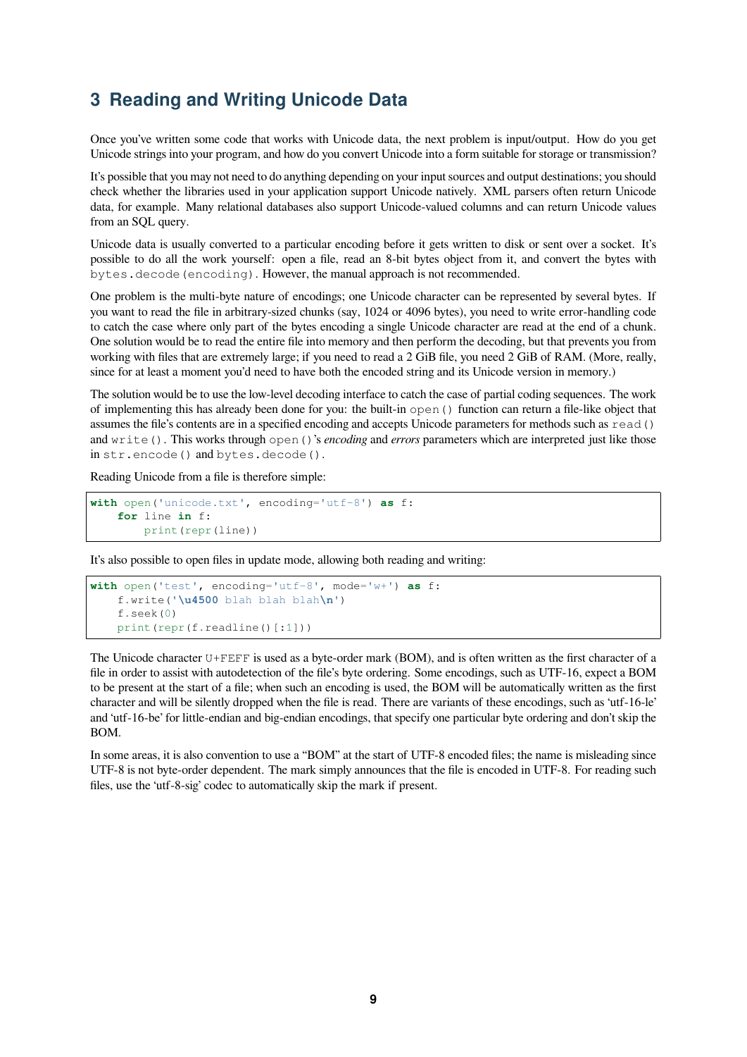### <span id="page-8-0"></span>**3 Reading and Writing Unicode Data**

Once you've written some code that works with Unicode data, the next problem is input/output. How do you get Unicode strings into your program, and how do you convert Unicode into a form suitable for storage or transmission?

It's possible that you may not need to do anything depending on your input sources and output destinations; you should check whether the libraries used in your application support Unicode natively. XML parsers often return Unicode data, for example. Many relational databases also support Unicode-valued columns and can return Unicode values from an SQL query.

Unicode data is usually converted to a particular encoding before it gets written to disk or sent over a socket. It's possible to do all the work yourself: open a file, read an 8-bit bytes object from it, and convert the bytes with bytes.decode(encoding). However, the manual approach is not recommended.

One problem is the multi-byte nature of encodings; one Unicode character can be represented by several bytes. If you want to read the file in arbitrary-sized chunks (say, 1024 or 4096 bytes), you need to write error-handling code to catch the case where only part of the bytes encoding a single Unicode character are read at the end of a chunk. One solution would be to read the entire file into memory and then perform the decoding, but that prevents you from working with files that are extremely large; if you need to read a 2 GiB file, you need 2 GiB of RAM. (More, really, since for at least a moment you'd need to have both the encoded string and its Unicode version in memory.)

The solution would be to use the low-level decoding interface to catch the case of partial coding sequences. The work of implementing this has already been done for you: the built-in open() function can return a file-like object that assumes the file's contents are in a specified encoding and accepts Unicode parameters for methods such as read() and write(). This works through open()'s *encoding* and *errors* parameters which are interpreted just like those in str.encode() and bytes.decode().

Reading Unicode from a file is therefore simple:

```
with open('unicode.txt', encoding='utf-8') as f:
    for line in f:
        print(repr(line))
```
It's also possible to open files in update mode, allowing both reading and writing:

```
with open('test', encoding='utf-8', mode='w+') as f:
    f.write('\u4500 blah blah blah\n')
    f.seek(0)
    print(repr(f.readline()[:1]))
```
The Unicode character U+FEFF is used as a byte-order mark (BOM), and is often written as the first character of a file in order to assist with autodetection of the file's byte ordering. Some encodings, such as UTF-16, expect a BOM to be present at the start of a file; when such an encoding is used, the BOM will be automatically written as the first character and will be silently dropped when the file is read. There are variants of these encodings, such as 'utf-16-le' and 'utf-16-be' for little-endian and big-endian encodings, that specify one particular byte ordering and don't skip the BOM.

In some areas, it is also convention to use a "BOM" at the start of UTF-8 encoded files; the name is misleading since UTF-8 is not byte-order dependent. The mark simply announces that the file is encoded in UTF-8. For reading such files, use the 'utf-8-sig' codec to automatically skip the mark if present.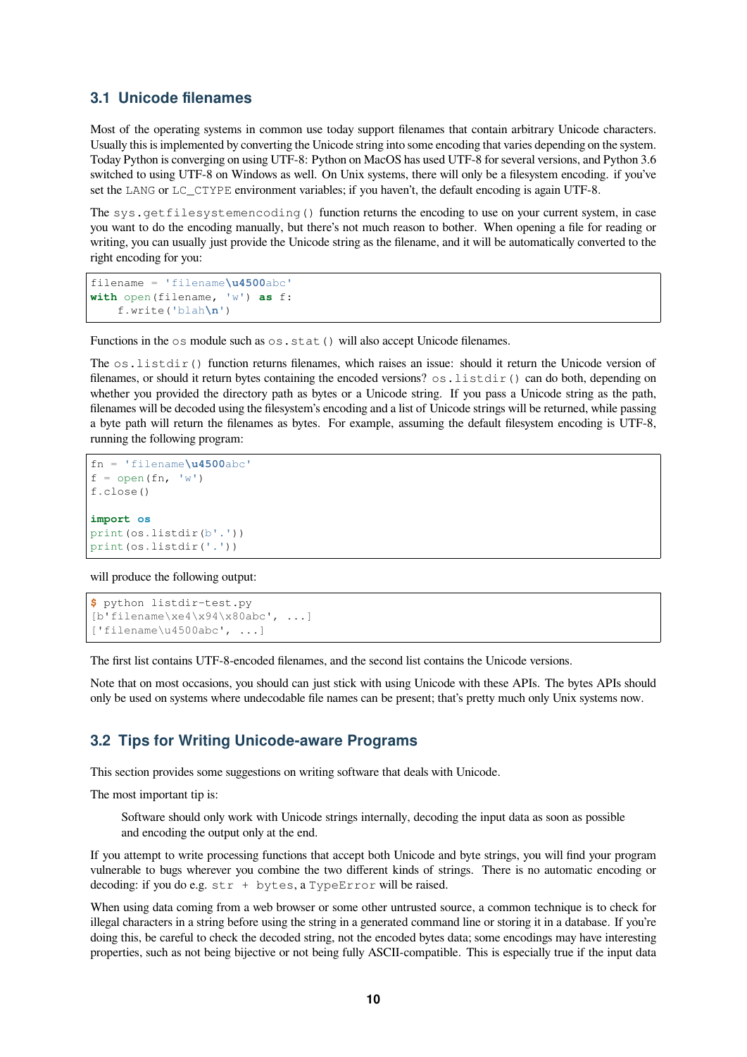#### <span id="page-9-0"></span>**3.1 Unicode filenames**

Most of the operating systems in common use today support filenames that contain arbitrary Unicode characters. Usually this is implemented by converting the Unicode string into some encoding that varies depending on the system. Today Python is converging on using UTF-8: Python on MacOS has used UTF-8 for several versions, and Python 3.6 switched to using UTF-8 on Windows as well. On Unix systems, there will only be a filesystem encoding. if you've set the LANG or LC\_CTYPE environment variables; if you haven't, the default encoding is again UTF-8.

The sys.getfilesystemencoding() function returns the encoding to use on your current system, in case you want to do the encoding manually, but there's not much reason to bother. When opening a file for reading or writing, you can usually just provide the Unicode string as the filename, and it will be automatically converted to the right encoding for you:

```
filename = 'filename\u4500abc'
with open(filename, 'w') as f:
    f.write('blah\n')
```
Functions in the  $\circ$ s module such as  $\circ$ s.stat() will also accept Unicode filenames.

The  $\circ s$ . listdir() function returns filenames, which raises an issue: should it return the Unicode version of filenames, or should it return bytes containing the encoded versions?  $\circ s$ . listdir() can do both, depending on whether you provided the directory path as bytes or a Unicode string. If you pass a Unicode string as the path, filenames will be decoded using the filesystem's encoding and a list of Unicode strings will be returned, while passing a byte path will return the filenames as bytes. For example, assuming the default filesystem encoding is UTF-8, running the following program:

```
fn = 'filename\u4500abc'
f = open(fn, 'w')f.close()
import os
print(os.listdir(b'.'))
print(os.listdir('.'))
```
will produce the following output:

```
$ python listdir-test.py
[b'filename\xe4\x94\x80abc', ...]
['filename\u4500abc', ...]
```
The first list contains UTF-8-encoded filenames, and the second list contains the Unicode versions.

Note that on most occasions, you should can just stick with using Unicode with these APIs. The bytes APIs should only be used on systems where undecodable file names can be present; that's pretty much only Unix systems now.

#### <span id="page-9-1"></span>**3.2 Tips for Writing Unicode-aware Programs**

This section provides some suggestions on writing software that deals with Unicode.

The most important tip is:

Software should only work with Unicode strings internally, decoding the input data as soon as possible and encoding the output only at the end.

If you attempt to write processing functions that accept both Unicode and byte strings, you will find your program vulnerable to bugs wherever you combine the two different kinds of strings. There is no automatic encoding or decoding: if you do e.g. str + bytes, a TypeError will be raised.

When using data coming from a web browser or some other untrusted source, a common technique is to check for illegal characters in a string before using the string in a generated command line or storing it in a database. If you're doing this, be careful to check the decoded string, not the encoded bytes data; some encodings may have interesting properties, such as not being bijective or not being fully ASCII-compatible. This is especially true if the input data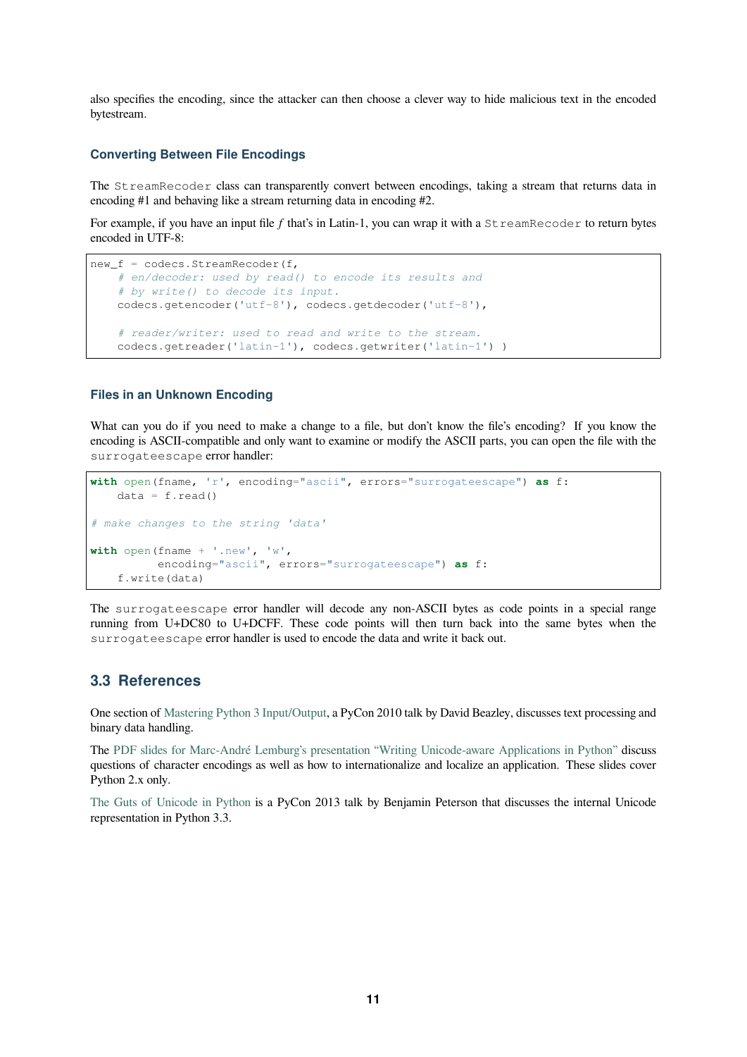also specifies the encoding, since the attacker can then choose a clever way to hide malicious text in the encoded bytestream.

#### **Converting Between File Encodings**

The StreamRecoder class can transparently convert between encodings, taking a stream that returns data in encoding #1 and behaving like a stream returning data in encoding #2.

For example, if you have an input file *f* that's in Latin-1, you can wrap it with a StreamRecoder to return bytes encoded in UTF-8:

```
new_f = codecs.StreamRecoder(f,
    # en/decoder: used by read() to encode its results and
    # by write() to decode its input.
   codecs.getencoder('utf-8'), codecs.getdecoder('utf-8'),
    # reader/writer: used to read and write to the stream.
   codecs.getreader('latin-1'), codecs.getwriter('latin-1') )
```
#### **Files in an Unknown Encoding**

What can you do if you need to make a change to a file, but don't know the file's encoding? If you know the encoding is ASCII-compatible and only want to examine or modify the ASCII parts, you can open the file with the surrogateescape error handler:

```
with open(fname, 'r', encoding="ascii", errors="surrogateescape") as f:
   data = f.read()# make changes to the string 'data'
with open(fname + '.new', 'w',
         encoding="ascii", errors="surrogateescape") as f:
    f.write(data)
```
The surrogateescape error handler will decode any non-ASCII bytes as code points in a special range running from U+DC80 to U+DCFF. These code points will then turn back into the same bytes when the surrogateescape error handler is used to encode the data and write it back out.

#### **3.3 References**

<span id="page-10-0"></span>One section of Mastering Python 3 Input/Output, a PyCon 2010 talk by David Beazley, discusses text processing and binary data handling.

The PDF slides for Marc-André Lemburg's presentation "Writing Unicode-aware Applications in Python" discuss questions of c[haracter encodings as well as how](http://pyvideo.org/video/289/pycon-2010--mastering-python-3-i-o) to internationalize and localize an application. These slides cover Python 2.x only.

The Guts of Unicode in Python [is a PyCon 2013 talk by Benjamin Peterson that discusses the internal U](https://downloads.egenix.com/python/LSM2005-Developing-Unicode-aware-applications-in-Python.pdf)nicode representation in Python 3.3.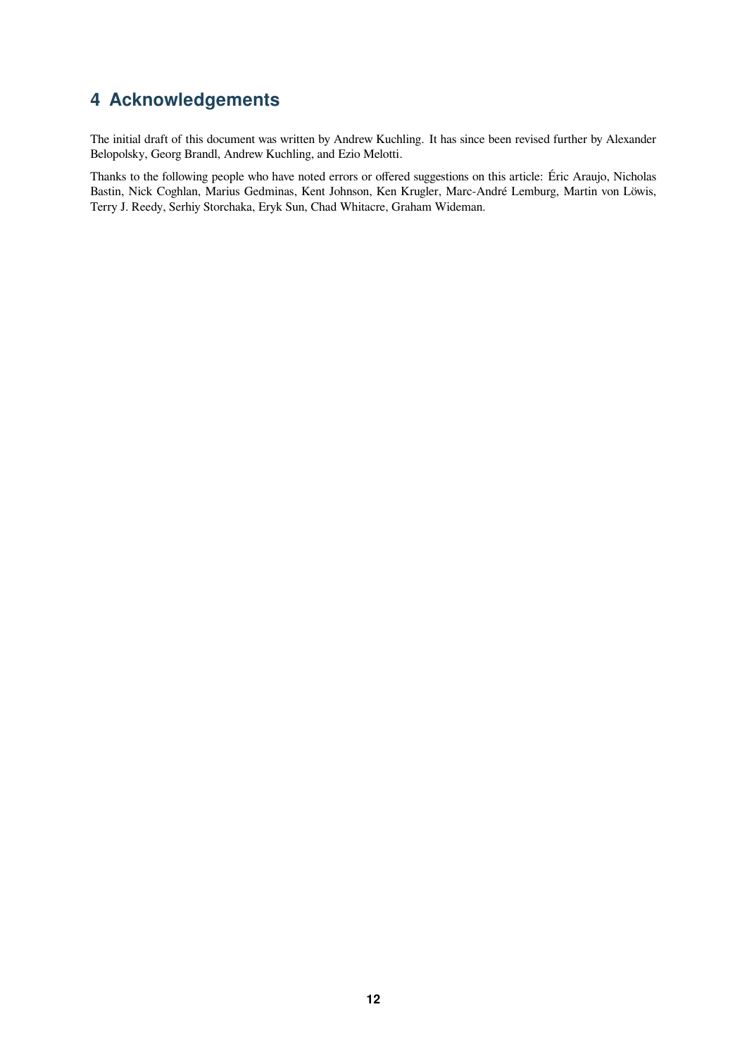### **4 Acknowledgements**

The initial draft of this document was written by Andrew Kuchling. It has since been revised further by Alexander Belopolsky, Georg Brandl, Andrew Kuchling, and Ezio Melotti.

Thanks to the following people who have noted errors or offered suggestions on this article: Éric Araujo, Nicholas Bastin, Nick Coghlan, Marius Gedminas, Kent Johnson, Ken Krugler, Marc-André Lemburg, Martin von Löwis, Terry J. Reedy, Serhiy Storchaka, Eryk Sun, Chad Whitacre, Graham Wideman.